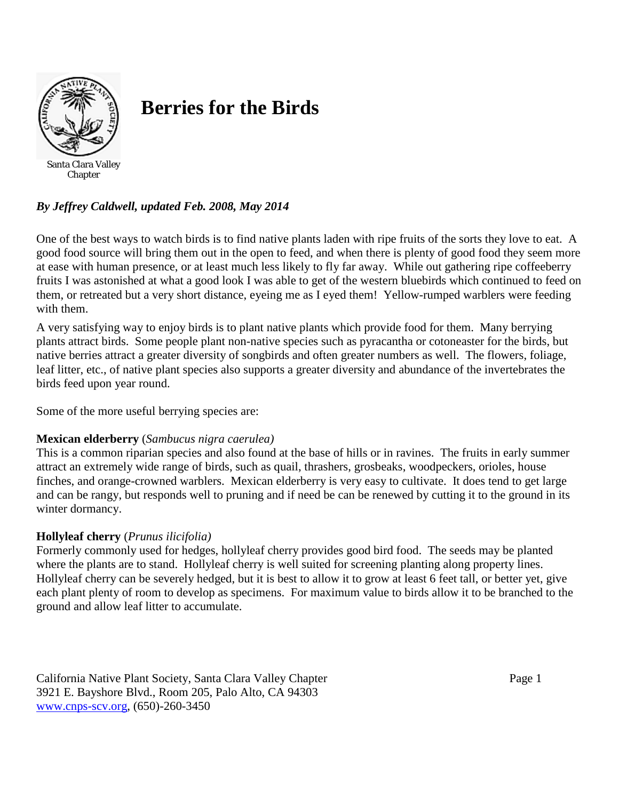

# **Berries for the Birds**

*By Jeffrey Caldwell, updated Feb. 2008, May 2014*

One of the best ways to watch birds is to find native plants laden with ripe fruits of the sorts they love to eat. A good food source will bring them out in the open to feed, and when there is plenty of good food they seem more at ease with human presence, or at least much less likely to fly far away. While out gathering ripe coffeeberry fruits I was astonished at what a good look I was able to get of the western bluebirds which continued to feed on them, or retreated but a very short distance, eyeing me as I eyed them! Yellow-rumped warblers were feeding with them.

A very satisfying way to enjoy birds is to plant native plants which provide food for them. Many berrying plants attract birds. Some people plant non-native species such as pyracantha or cotoneaster for the birds, but native berries attract a greater diversity of songbirds and often greater numbers as well. The flowers, foliage, leaf litter, etc., of native plant species also supports a greater diversity and abundance of the invertebrates the birds feed upon year round.

Some of the more useful berrying species are:

# **Mexican elderberry** (*Sambucus nigra caerulea)*

This is a common riparian species and also found at the base of hills or in ravines. The fruits in early summer attract an extremely wide range of birds, such as quail, thrashers, grosbeaks, woodpeckers, orioles, house finches, and orange-crowned warblers. Mexican elderberry is very easy to cultivate. It does tend to get large and can be rangy, but responds well to pruning and if need be can be renewed by cutting it to the ground in its winter dormancy.

# **Hollyleaf cherry** (*Prunus ilicifolia)*

Formerly commonly used for hedges, hollyleaf cherry provides good bird food. The seeds may be planted where the plants are to stand. Hollyleaf cherry is well suited for screening planting along property lines. Hollyleaf cherry can be severely hedged, but it is best to allow it to grow at least 6 feet tall, or better yet, give each plant plenty of room to develop as specimens. For maximum value to birds allow it to be branched to the ground and allow leaf litter to accumulate.

California Native Plant Society, Santa Clara Valley Chapter **Page 1** Page 1 3921 E. Bayshore Blvd., Room 205, Palo Alto, CA 94303 [www.cnps-scv.org,](http://www.cnps-scv.org/) (650)-260-3450